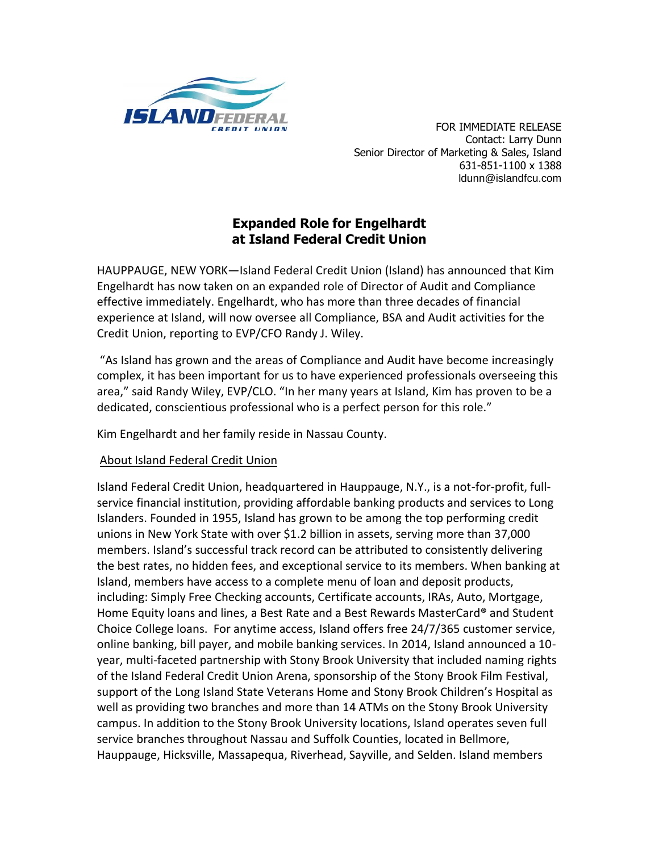

 FOR IMMEDIATE RELEASE Contact: Larry Dunn Senior Director of Marketing & Sales, Island 631-851-1100 x 1388 ldunn@islandfcu.com

## **Expanded Role for Engelhardt at Island Federal Credit Union**

HAUPPAUGE, NEW YORK—Island Federal Credit Union (Island) has announced that Kim Engelhardt has now taken on an expanded role of Director of Audit and Compliance effective immediately. Engelhardt, who has more than three decades of financial experience at Island, will now oversee all Compliance, BSA and Audit activities for the Credit Union, reporting to EVP/CFO Randy J. Wiley.

"As Island has grown and the areas of Compliance and Audit have become increasingly complex, it has been important for us to have experienced professionals overseeing this area," said Randy Wiley, EVP/CLO. "In her many years at Island, Kim has proven to be a dedicated, conscientious professional who is a perfect person for this role."

Kim Engelhardt and her family reside in Nassau County.

## About Island Federal Credit Union

Island Federal Credit Union, headquartered in Hauppauge, N.Y., is a not-for-profit, fullservice financial institution, providing affordable banking products and services to Long Islanders. Founded in 1955, Island has grown to be among the top performing credit unions in New York State with over \$1.2 billion in assets, serving more than 37,000 members. Island's successful track record can be attributed to consistently delivering the best rates, no hidden fees, and exceptional service to its members. When banking at Island, members have access to a complete menu of loan and deposit products, including: Simply Free Checking accounts, Certificate accounts, IRAs, Auto, Mortgage, Home Equity loans and lines, a Best Rate and a Best Rewards MasterCard® and Student Choice College loans. For anytime access, Island offers free 24/7/365 customer service, online banking, bill payer, and mobile banking services. In 2014, Island announced a 10 year, multi-faceted partnership with Stony Brook University that included naming rights of the Island Federal Credit Union Arena, sponsorship of the Stony Brook Film Festival, support of the Long Island State Veterans Home and Stony Brook Children's Hospital as well as providing two branches and more than 14 ATMs on the Stony Brook University campus. In addition to the Stony Brook University locations, Island operates seven full service branches throughout Nassau and Suffolk Counties, located in Bellmore, Hauppauge, Hicksville, Massapequa, Riverhead, Sayville, and Selden. Island members